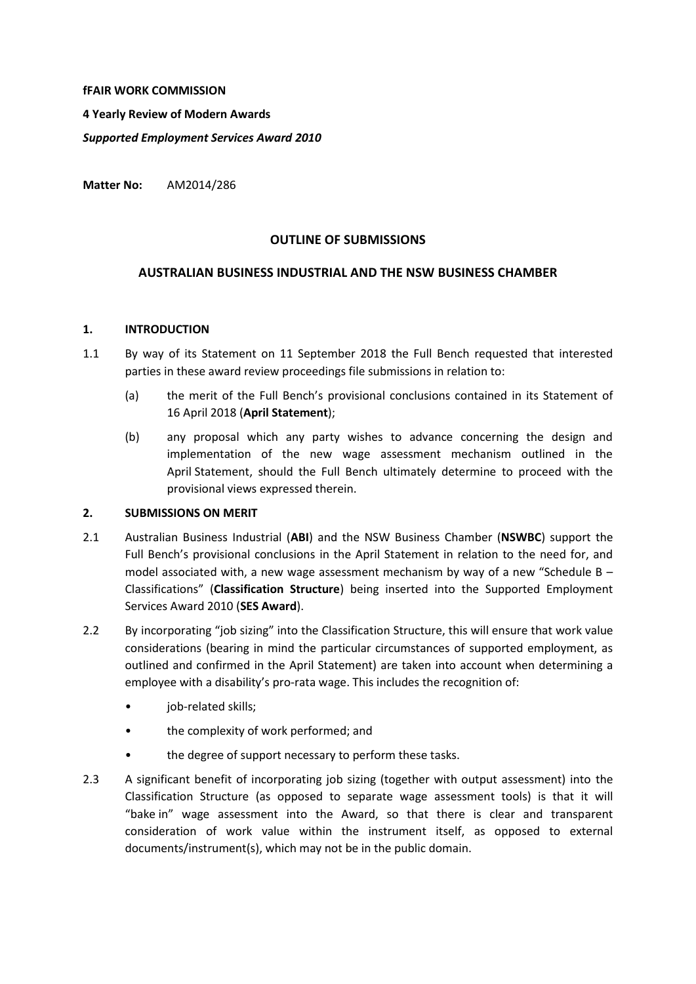#### **fFAIR WORK COMMISSION**

**4 Yearly Review of Modern Awards**

*Supported Employment Services Award 2010*

**Matter No:** AM2014/286

#### **OUTLINE OF SUBMISSIONS**

# **AUSTRALIAN BUSINESS INDUSTRIAL AND THE NSW BUSINESS CHAMBER**

#### **1. INTRODUCTION**

- 1.1 By way of its Statement on 11 September 2018 the Full Bench requested that interested parties in these award review proceedings file submissions in relation to:
	- (a) the merit of the Full Bench's provisional conclusions contained in its Statement of 16 April 2018 (**April Statement**);
	- (b) any proposal which any party wishes to advance concerning the design and implementation of the new wage assessment mechanism outlined in the April Statement, should the Full Bench ultimately determine to proceed with the provisional views expressed therein.

#### **2. SUBMISSIONS ON MERIT**

- 2.1 Australian Business Industrial (**ABI**) and the NSW Business Chamber (**NSWBC**) support the Full Bench's provisional conclusions in the April Statement in relation to the need for, and model associated with, a new wage assessment mechanism by way of a new "Schedule B  $-$ Classifications" (**Classification Structure**) being inserted into the Supported Employment Services Award 2010 (**SES Award**).
- 2.2 By incorporating "job sizing" into the Classification Structure, this will ensure that work value considerations (bearing in mind the particular circumstances of supported employment, as outlined and confirmed in the April Statement) are taken into account when determining a employee with a disability's pro-rata wage. This includes the recognition of:
	- job-related skills;
	- the complexity of work performed; and
	- the degree of support necessary to perform these tasks.
- 2.3 A significant benefit of incorporating job sizing (together with output assessment) into the Classification Structure (as opposed to separate wage assessment tools) is that it will "bake in" wage assessment into the Award, so that there is clear and transparent consideration of work value within the instrument itself, as opposed to external documents/instrument(s), which may not be in the public domain.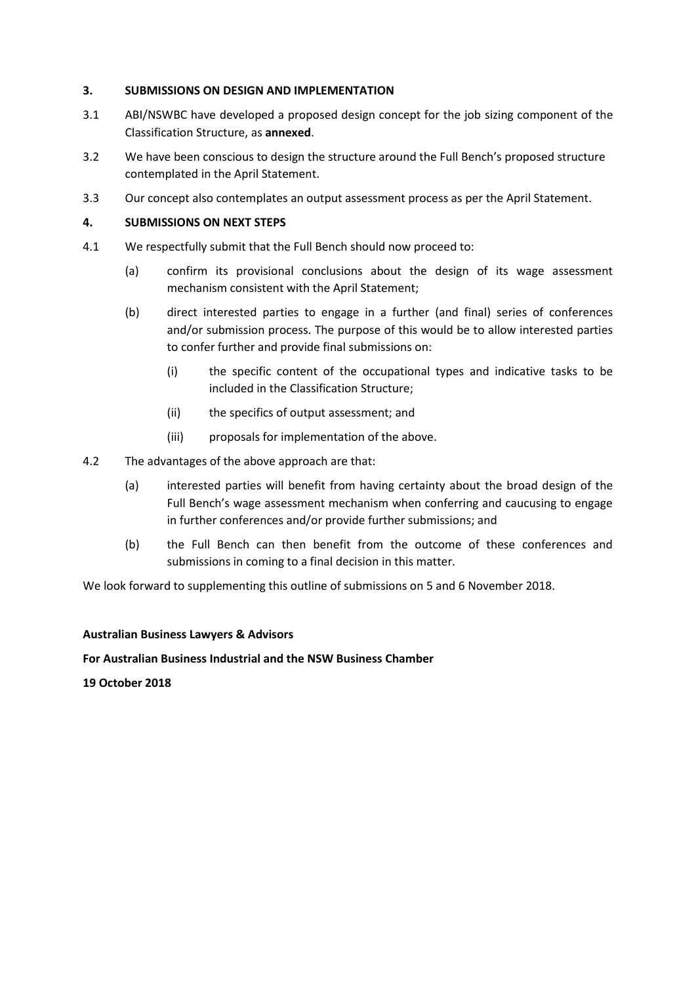# **3. SUBMISSIONS ON DESIGN AND IMPLEMENTATION**

- 3.1 ABI/NSWBC have developed a proposed design concept for the job sizing component of the Classification Structure, as **annexed**.
- 3.2 We have been conscious to design the structure around the Full Bench's proposed structure contemplated in the April Statement.
- 3.3 Our concept also contemplates an output assessment process as per the April Statement.

# **4. SUBMISSIONS ON NEXT STEPS**

- 4.1 We respectfully submit that the Full Bench should now proceed to:
	- (a) confirm its provisional conclusions about the design of its wage assessment mechanism consistent with the April Statement;
	- (b) direct interested parties to engage in a further (and final) series of conferences and/or submission process. The purpose of this would be to allow interested parties to confer further and provide final submissions on:
		- (i) the specific content of the occupational types and indicative tasks to be included in the Classification Structure;
		- (ii) the specifics of output assessment; and
		- (iii) proposals for implementation of the above.
- 4.2 The advantages of the above approach are that:
	- (a) interested parties will benefit from having certainty about the broad design of the Full Bench's wage assessment mechanism when conferring and caucusing to engage in further conferences and/or provide further submissions; and
	- (b) the Full Bench can then benefit from the outcome of these conferences and submissions in coming to a final decision in this matter.

We look forward to supplementing this outline of submissions on 5 and 6 November 2018.

#### **Australian Business Lawyers & Advisors**

#### **For Australian Business Industrial and the NSW Business Chamber**

**19 October 2018**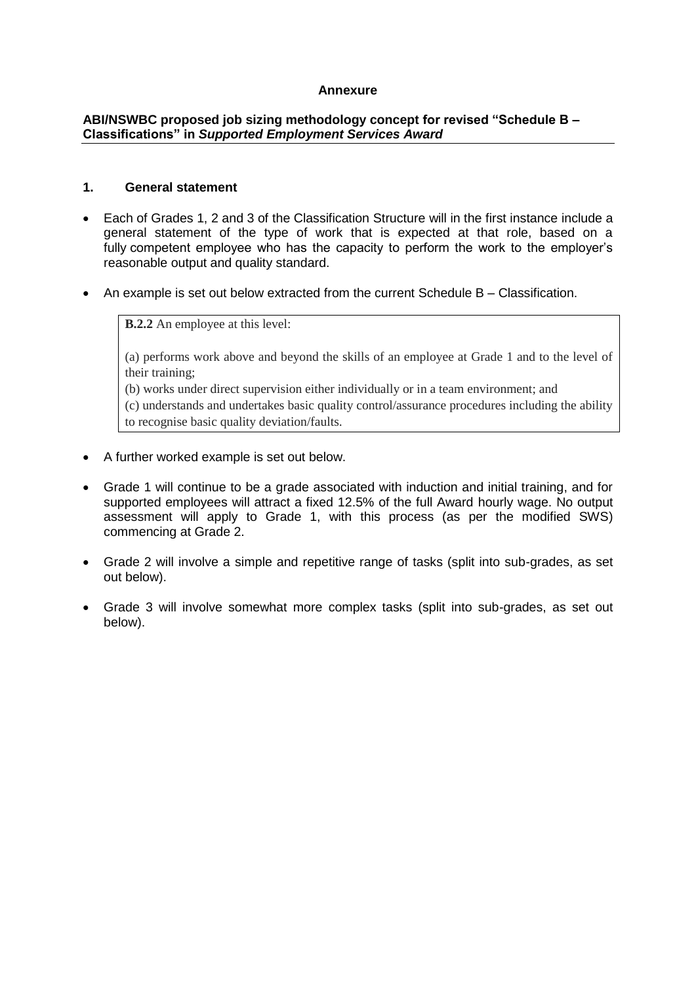# **Annexure**

# **ABI/NSWBC proposed job sizing methodology concept for revised "Schedule B – Classifications" in** *Supported Employment Services Award*

# **1. General statement**

- Each of Grades 1, 2 and 3 of the Classification Structure will in the first instance include a general statement of the type of work that is expected at that role, based on a fully competent employee who has the capacity to perform the work to the employer's reasonable output and quality standard.
- An example is set out below extracted from the current Schedule B Classification.

**B.2.2** An employee at this level:

(a) performs work above and beyond the skills of an employee at Grade 1 and to the level of their training;

(b) works under direct supervision either individually or in a team environment; and

(c) understands and undertakes basic quality control/assurance procedures including the ability to recognise basic quality deviation/faults.

- A further worked example is set out below.
- Grade 1 will continue to be a grade associated with induction and initial training, and for supported employees will attract a fixed 12.5% of the full Award hourly wage. No output assessment will apply to Grade 1, with this process (as per the modified SWS) commencing at Grade 2.
- Grade 2 will involve a simple and repetitive range of tasks (split into sub-grades, as set out below).
- Grade 3 will involve somewhat more complex tasks (split into sub-grades, as set out below).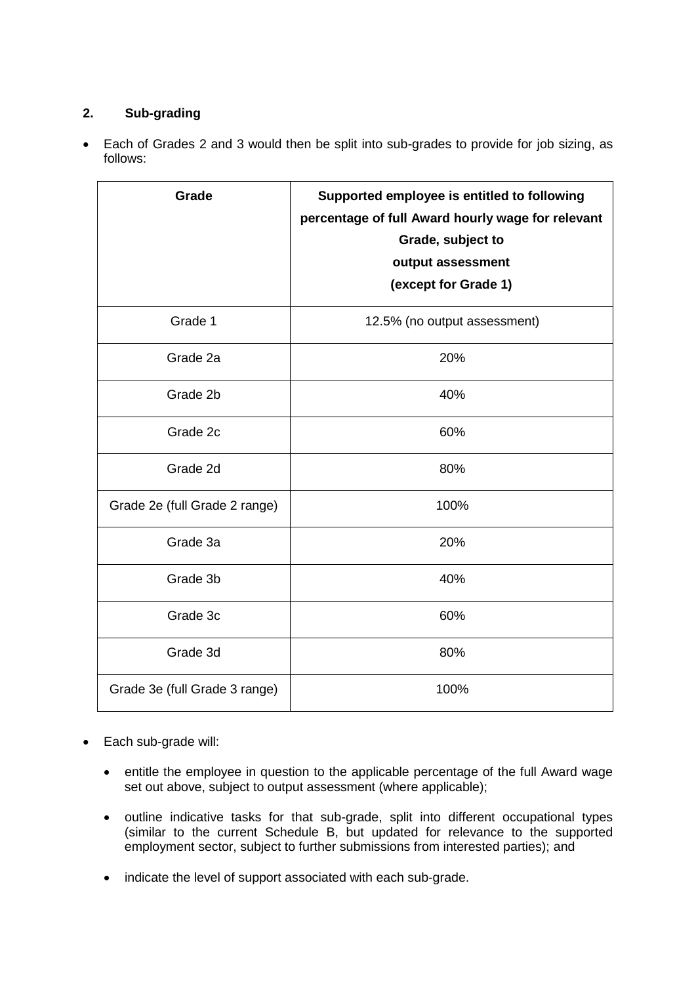# **2. Sub-grading**

 Each of Grades 2 and 3 would then be split into sub-grades to provide for job sizing, as follows:

| Grade                         | Supported employee is entitled to following<br>percentage of full Award hourly wage for relevant<br>Grade, subject to<br>output assessment<br>(except for Grade 1) |
|-------------------------------|--------------------------------------------------------------------------------------------------------------------------------------------------------------------|
| Grade 1                       | 12.5% (no output assessment)                                                                                                                                       |
| Grade 2a                      | 20%                                                                                                                                                                |
| Grade 2b                      | 40%                                                                                                                                                                |
| Grade 2c                      | 60%                                                                                                                                                                |
| Grade 2d                      | 80%                                                                                                                                                                |
| Grade 2e (full Grade 2 range) | 100%                                                                                                                                                               |
| Grade 3a                      | 20%                                                                                                                                                                |
| Grade 3b                      | 40%                                                                                                                                                                |
| Grade 3c                      | 60%                                                                                                                                                                |
| Grade 3d                      | 80%                                                                                                                                                                |
| Grade 3e (full Grade 3 range) | 100%                                                                                                                                                               |

- Each sub-grade will:
	- entitle the employee in question to the applicable percentage of the full Award wage set out above, subject to output assessment (where applicable);
	- outline indicative tasks for that sub-grade, split into different occupational types (similar to the current Schedule B, but updated for relevance to the supported employment sector, subject to further submissions from interested parties); and
	- indicate the level of support associated with each sub-grade.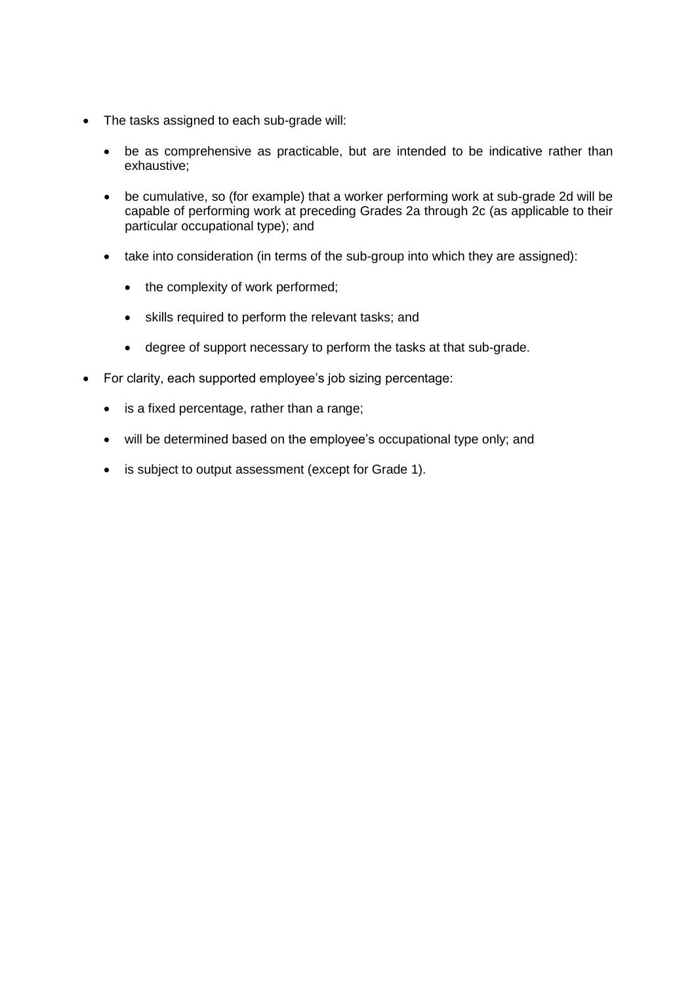- The tasks assigned to each sub-grade will:
	- be as comprehensive as practicable, but are intended to be indicative rather than exhaustive;
	- be cumulative, so (for example) that a worker performing work at sub-grade 2d will be capable of performing work at preceding Grades 2a through 2c (as applicable to their particular occupational type); and
	- take into consideration (in terms of the sub-group into which they are assigned):
		- the complexity of work performed;
		- skills required to perform the relevant tasks; and
		- degree of support necessary to perform the tasks at that sub-grade.
- For clarity, each supported employee's job sizing percentage:
	- is a fixed percentage, rather than a range;
	- will be determined based on the employee's occupational type only; and
	- is subject to output assessment (except for Grade 1).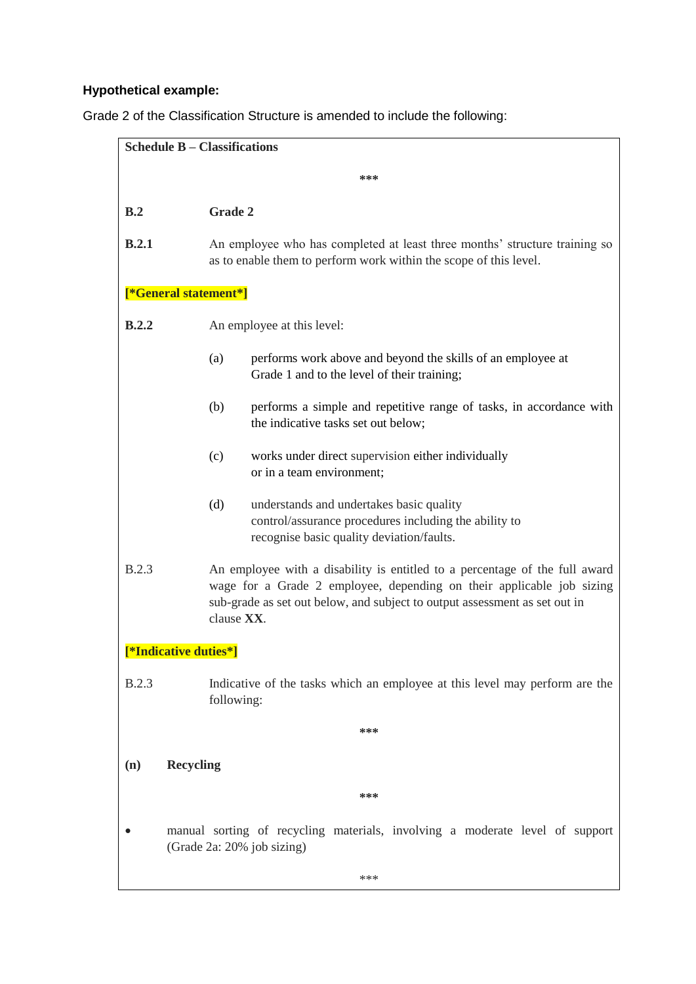# **Hypothetical example:**

Grade 2 of the Classification Structure is amended to include the following:

| <b>Schedule B - Classifications</b> |                                                                                                                                                                                                                                                  |  |
|-------------------------------------|--------------------------------------------------------------------------------------------------------------------------------------------------------------------------------------------------------------------------------------------------|--|
| ***                                 |                                                                                                                                                                                                                                                  |  |
| B.2                                 | <b>Grade 2</b>                                                                                                                                                                                                                                   |  |
| B.2.1                               | An employee who has completed at least three months' structure training so<br>as to enable them to perform work within the scope of this level.                                                                                                  |  |
| [*General statement*]               |                                                                                                                                                                                                                                                  |  |
| B.2.2                               | An employee at this level:                                                                                                                                                                                                                       |  |
|                                     | performs work above and beyond the skills of an employee at<br>(a)<br>Grade 1 and to the level of their training;                                                                                                                                |  |
|                                     | (b)<br>performs a simple and repetitive range of tasks, in accordance with<br>the indicative tasks set out below;                                                                                                                                |  |
|                                     | works under direct supervision either individually<br>(c)<br>or in a team environment;                                                                                                                                                           |  |
|                                     | (d)<br>understands and undertakes basic quality<br>control/assurance procedures including the ability to<br>recognise basic quality deviation/faults.                                                                                            |  |
| <b>B.2.3</b>                        | An employee with a disability is entitled to a percentage of the full award<br>wage for a Grade 2 employee, depending on their applicable job sizing<br>sub-grade as set out below, and subject to output assessment as set out in<br>clause XX. |  |
| [*Indicative duties*]               |                                                                                                                                                                                                                                                  |  |
| <b>B.2.3</b>                        | Indicative of the tasks which an employee at this level may perform are the<br>following:                                                                                                                                                        |  |
|                                     | ***                                                                                                                                                                                                                                              |  |
| (n)                                 | <b>Recycling</b>                                                                                                                                                                                                                                 |  |
|                                     | ***                                                                                                                                                                                                                                              |  |
|                                     | manual sorting of recycling materials, involving a moderate level of support<br>(Grade 2a: 20% job sizing)                                                                                                                                       |  |
|                                     | ***                                                                                                                                                                                                                                              |  |